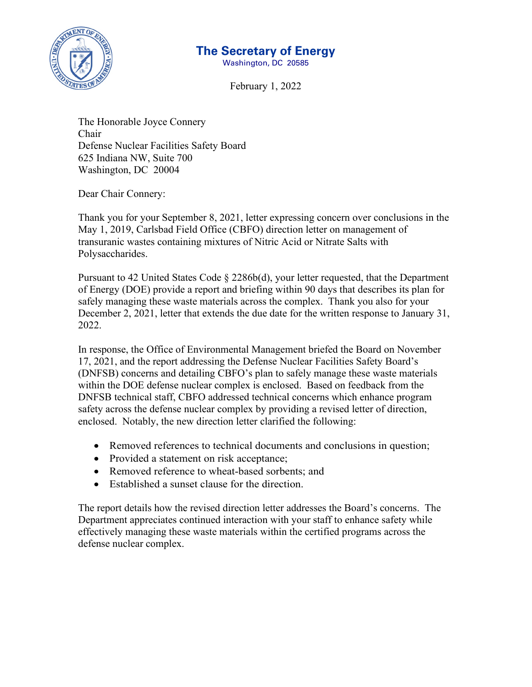

# **The Secretary of Energy**

Washington, DC 20585

February 1, 2022

The Honorable Joyce Connery Chair Defense Nuclear Facilities Safety Board 625 Indiana NW, Suite 700 Washington, DC 20004

Dear Chair Connery:

Thank you for your September 8, 2021, letter expressing concern over conclusions in the May 1, 2019, Carlsbad Field Office (CBFO) direction letter on management of transuranic wastes containing mixtures of Nitric Acid or Nitrate Salts with Polysaccharides.

Pursuant to 42 United States Code § 2286b(d), your letter requested, that the Department of Energy (DOE) provide a report and briefing within 90 days that describes its plan for safely managing these waste materials across the complex. Thank you also for your December 2, 2021, letter that extends the due date for the written response to January 31, 2022.

In response, the Office of Environmental Management briefed the Board on November 17, 2021, and the report addressing the Defense Nuclear Facilities Safety Board's (DNFSB) concerns and detailing CBFO's plan to safely manage these waste materials within the DOE defense nuclear complex is enclosed. Based on feedback from the DNFSB technical staff, CBFO addressed technical concerns which enhance program safety across the defense nuclear complex by providing a revised letter of direction, enclosed. Notably, the new direction letter clarified the following:

- Removed references to technical documents and conclusions in question;
- Provided a statement on risk acceptance;
- Removed reference to wheat-based sorbents; and
- Established a sunset clause for the direction.

The report details how the revised direction letter addresses the Board's concerns. The Department appreciates continued interaction with your staff to enhance safety while effectively managing these waste materials within the certified programs across the defense nuclear complex.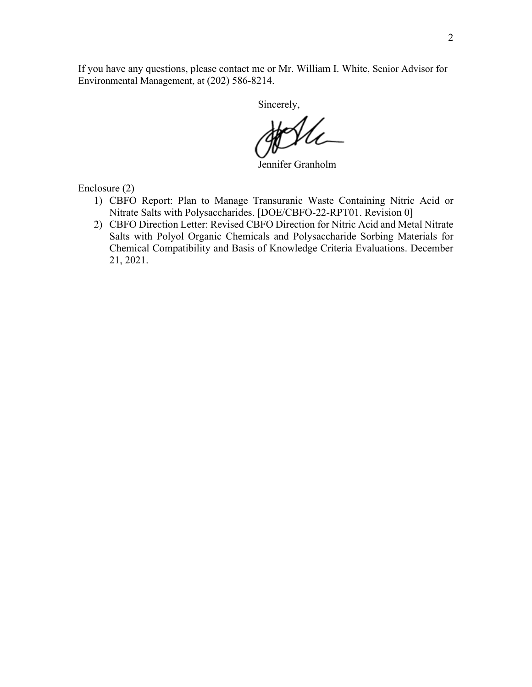If you have any questions, please contact me or Mr. William I. White, Senior Advisor for Environmental Management, at (202) 586-8214.

Sincerely,

Jennifer Granholm

Enclosure (2)

- 1) CBFO Report: Plan to Manage Transuranic Waste Containing Nitric Acid or Nitrate Salts with Polysaccharides. [DOE/CBFO-22-RPT01. Revision 0]
- 2) CBFO Direction Letter: Revised CBFO Direction for Nitric Acid and Metal Nitrate Salts with Polyol Organic Chemicals and Polysaccharide Sorbing Materials for Chemical Compatibility and Basis of Knowledge Criteria Evaluations. December 21, 2021.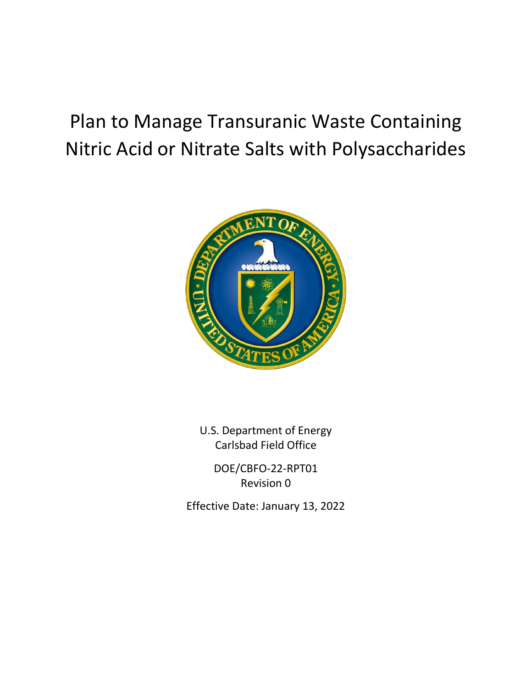# Plan to Manage Transuranic Waste Containing Nitric Acid or Nitrate Salts with Polysaccharides



U.S. Department of Energy Carlsbad Field Office

> DOE/CBFO-22-RPT01 Revision 0

Effective Date: January 13, 2022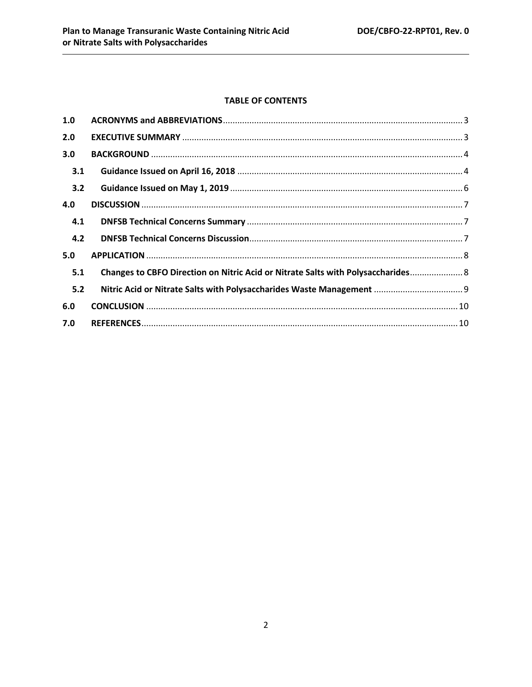#### **TABLE OF CONTENTS**

| Changes to CBFO Direction on Nitric Acid or Nitrate Salts with Polysaccharides 8 |
|----------------------------------------------------------------------------------|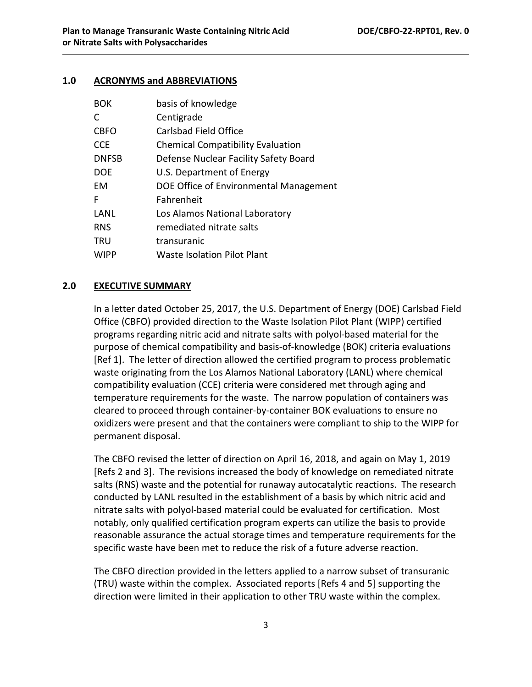#### <span id="page-4-0"></span>**1.0 ACRONYMS and ABBREVIATIONS**

| <b>BOK</b>   | basis of knowledge                       |
|--------------|------------------------------------------|
| C            | Centigrade                               |
| <b>CBFO</b>  | Carlsbad Field Office                    |
| <b>CCE</b>   | <b>Chemical Compatibility Evaluation</b> |
| <b>DNFSB</b> | Defense Nuclear Facility Safety Board    |
| <b>DOE</b>   | U.S. Department of Energy                |
| EM           | DOE Office of Environmental Management   |
| F            | Fahrenheit                               |
| LANL         | Los Alamos National Laboratory           |
| <b>RNS</b>   | remediated nitrate salts                 |
| <b>TRU</b>   | transuranic                              |
| <b>WIPP</b>  | <b>Waste Isolation Pilot Plant</b>       |

#### <span id="page-4-1"></span>**2.0 EXECUTIVE SUMMARY**

In a letter dated October 25, 2017, the U.S. Department of Energy (DOE) Carlsbad Field Office (CBFO) provided direction to the Waste Isolation Pilot Plant (WIPP) certified programs regarding nitric acid and nitrate salts with polyol-based material for the purpose of chemical compatibility and basis-of-knowledge (BOK) criteria evaluations [Ref 1]. The letter of direction allowed the certified program to process problematic waste originating from the Los Alamos National Laboratory (LANL) where chemical compatibility evaluation (CCE) criteria were considered met through aging and temperature requirements for the waste. The narrow population of containers was cleared to proceed through container-by-container BOK evaluations to ensure no oxidizers were present and that the containers were compliant to ship to the WIPP for permanent disposal.

The CBFO revised the letter of direction on April 16, 2018, and again on May 1, 2019 [Refs 2 and 3]. The revisions increased the body of knowledge on remediated nitrate salts (RNS) waste and the potential for runaway autocatalytic reactions. The research conducted by LANL resulted in the establishment of a basis by which nitric acid and nitrate salts with polyol-based material could be evaluated for certification. Most notably, only qualified certification program experts can utilize the basis to provide reasonable assurance the actual storage times and temperature requirements for the specific waste have been met to reduce the risk of a future adverse reaction.

The CBFO direction provided in the letters applied to a narrow subset of transuranic (TRU) waste within the complex. Associated reports [Refs 4 and 5] supporting the direction were limited in their application to other TRU waste within the complex.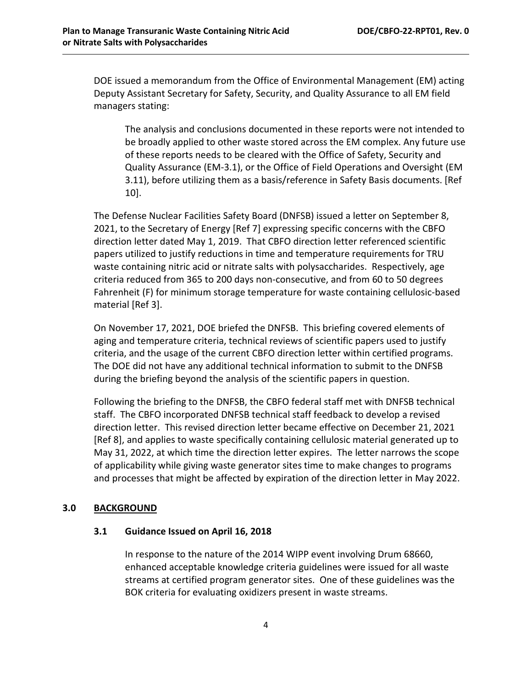DOE issued a memorandum from the Office of Environmental Management (EM) acting Deputy Assistant Secretary for Safety, Security, and Quality Assurance to all EM field managers stating:

The analysis and conclusions documented in these reports were not intended to be broadly applied to other waste stored across the EM complex. Any future use of these reports needs to be cleared with the Office of Safety, Security and Quality Assurance (EM-3.1), or the Office of Field Operations and Oversight (EM 3.11), before utilizing them as a basis/reference in Safety Basis documents. [Ref 10].

The Defense Nuclear Facilities Safety Board (DNFSB) issued a letter on September 8, 2021, to the Secretary of Energy [Ref 7] expressing specific concerns with the CBFO direction letter dated May 1, 2019. That CBFO direction letter referenced scientific papers utilized to justify reductions in time and temperature requirements for TRU waste containing nitric acid or nitrate salts with polysaccharides. Respectively, age criteria reduced from 365 to 200 days non-consecutive, and from 60 to 50 degrees Fahrenheit (F) for minimum storage temperature for waste containing cellulosic-based material [Ref 3].

On November 17, 2021, DOE briefed the DNFSB. This briefing covered elements of aging and temperature criteria, technical reviews of scientific papers used to justify criteria, and the usage of the current CBFO direction letter within certified programs. The DOE did not have any additional technical information to submit to the DNFSB during the briefing beyond the analysis of the scientific papers in question.

Following the briefing to the DNFSB, the CBFO federal staff met with DNFSB technical staff. The CBFO incorporated DNFSB technical staff feedback to develop a revised direction letter. This revised direction letter became effective on December 21, 2021 [Ref 8], and applies to waste specifically containing cellulosic material generated up to May 31, 2022, at which time the direction letter expires. The letter narrows the scope of applicability while giving waste generator sites time to make changes to programs and processes that might be affected by expiration of the direction letter in May 2022.

## <span id="page-5-1"></span><span id="page-5-0"></span>**3.0 BACKGROUND**

#### **3.1 Guidance Issued on April 16, 2018**

In response to the nature of the 2014 WIPP event involving Drum 68660, enhanced acceptable knowledge criteria guidelines were issued for all waste streams at certified program generator sites. One of these guidelines was the BOK criteria for evaluating oxidizers present in waste streams.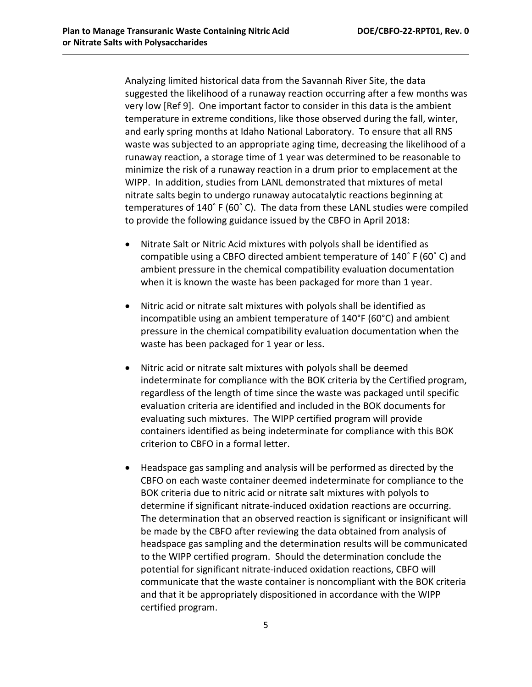Analyzing limited historical data from the Savannah River Site, the data suggested the likelihood of a runaway reaction occurring after a few months was very low [Ref 9]. One important factor to consider in this data is the ambient temperature in extreme conditions, like those observed during the fall, winter, and early spring months at Idaho National Laboratory. To ensure that all RNS waste was subjected to an appropriate aging time, decreasing the likelihood of a runaway reaction, a storage time of 1 year was determined to be reasonable to minimize the risk of a runaway reaction in a drum prior to emplacement at the WIPP. In addition, studies from LANL demonstrated that mixtures of metal nitrate salts begin to undergo runaway autocatalytic reactions beginning at temperatures of 140˚ F (60˚ C). The data from these LANL studies were compiled to provide the following guidance issued by the CBFO in April 2018:

- Nitrate Salt or Nitric Acid mixtures with polyols shall be identified as compatible using a CBFO directed ambient temperature of 140˚ F (60˚ C) and ambient pressure in the chemical compatibility evaluation documentation when it is known the waste has been packaged for more than 1 year.
- Nitric acid or nitrate salt mixtures with polyols shall be identified as incompatible using an ambient temperature of 140°F (60°C) and ambient pressure in the chemical compatibility evaluation documentation when the waste has been packaged for 1 year or less.
- Nitric acid or nitrate salt mixtures with polyols shall be deemed indeterminate for compliance with the BOK criteria by the Certified program, regardless of the length of time since the waste was packaged until specific evaluation criteria are identified and included in the BOK documents for evaluating such mixtures. The WIPP certified program will provide containers identified as being indeterminate for compliance with this BOK criterion to CBFO in a formal letter.
- Headspace gas sampling and analysis will be performed as directed by the CBFO on each waste container deemed indeterminate for compliance to the BOK criteria due to nitric acid or nitrate salt mixtures with polyols to determine if significant nitrate-induced oxidation reactions are occurring. The determination that an observed reaction is significant or insignificant will be made by the CBFO after reviewing the data obtained from analysis of headspace gas sampling and the determination results will be communicated to the WIPP certified program. Should the determination conclude the potential for significant nitrate-induced oxidation reactions, CBFO will communicate that the waste container is noncompliant with the BOK criteria and that it be appropriately dispositioned in accordance with the WIPP certified program.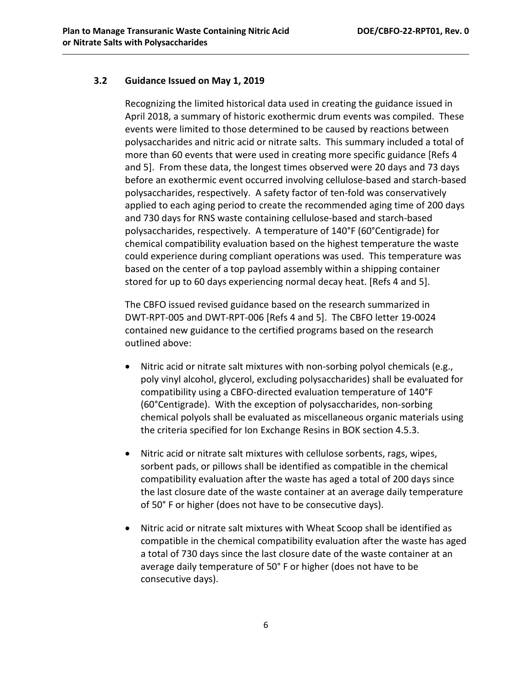#### <span id="page-7-0"></span>**3.2 Guidance Issued on May 1, 2019**

Recognizing the limited historical data used in creating the guidance issued in April 2018, a summary of historic exothermic drum events was compiled. These events were limited to those determined to be caused by reactions between polysaccharides and nitric acid or nitrate salts. This summary included a total of more than 60 events that were used in creating more specific guidance [Refs 4 and 5]. From these data, the longest times observed were 20 days and 73 days before an exothermic event occurred involving cellulose-based and starch-based polysaccharides, respectively. A safety factor of ten-fold was conservatively applied to each aging period to create the recommended aging time of 200 days and 730 days for RNS waste containing cellulose-based and starch-based polysaccharides, respectively. A temperature of 140°F (60°Centigrade) for chemical compatibility evaluation based on the highest temperature the waste could experience during compliant operations was used. This temperature was based on the center of a top payload assembly within a shipping container stored for up to 60 days experiencing normal decay heat. [Refs 4 and 5].

The CBFO issued revised guidance based on the research summarized in DWT-RPT-005 and DWT-RPT-006 [Refs 4 and 5]. The CBFO letter 19-0024 contained new guidance to the certified programs based on the research outlined above:

- Nitric acid or nitrate salt mixtures with non-sorbing polyol chemicals (e.g., poly vinyl alcohol, glycerol, excluding polysaccharides) shall be evaluated for compatibility using a CBFO-directed evaluation temperature of 140°F (60°Centigrade). With the exception of polysaccharides, non-sorbing chemical polyols shall be evaluated as miscellaneous organic materials using the criteria specified for Ion Exchange Resins in BOK section 4.5.3.
- Nitric acid or nitrate salt mixtures with cellulose sorbents, rags, wipes, sorbent pads, or pillows shall be identified as compatible in the chemical compatibility evaluation after the waste has aged a total of 200 days since the last closure date of the waste container at an average daily temperature of 50° F or higher (does not have to be consecutive days).
- Nitric acid or nitrate salt mixtures with Wheat Scoop shall be identified as compatible in the chemical compatibility evaluation after the waste has aged a total of 730 days since the last closure date of the waste container at an average daily temperature of 50° F or higher (does not have to be consecutive days).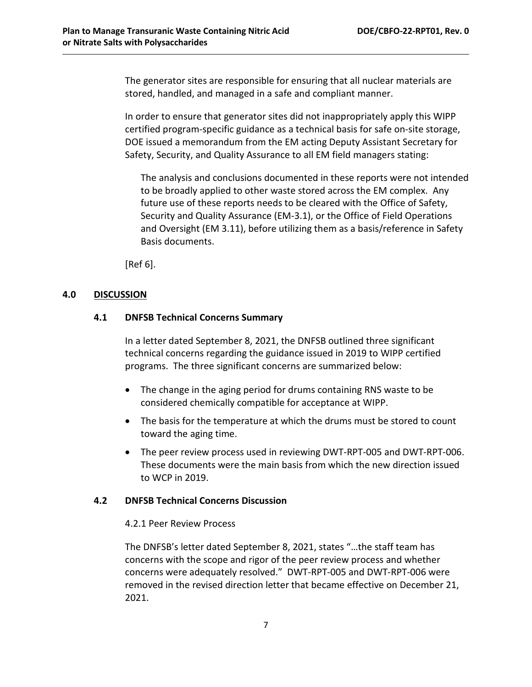The generator sites are responsible for ensuring that all nuclear materials are stored, handled, and managed in a safe and compliant manner.

In order to ensure that generator sites did not inappropriately apply this WIPP certified program-specific guidance as a technical basis for safe on-site storage, DOE issued a memorandum from the EM acting Deputy Assistant Secretary for Safety, Security, and Quality Assurance to all EM field managers stating:

The analysis and conclusions documented in these reports were not intended to be broadly applied to other waste stored across the EM complex. Any future use of these reports needs to be cleared with the Office of Safety, Security and Quality Assurance (EM-3.1), or the Office of Field Operations and Oversight (EM 3.11), before utilizing them as a basis/reference in Safety Basis documents.

[Ref 6].

#### <span id="page-8-1"></span><span id="page-8-0"></span>**4.0 DISCUSSION**

#### **4.1 DNFSB Technical Concerns Summary**

In a letter dated September 8, 2021, the DNFSB outlined three significant technical concerns regarding the guidance issued in 2019 to WIPP certified programs. The three significant concerns are summarized below:

- The change in the aging period for drums containing RNS waste to be considered chemically compatible for acceptance at WIPP.
- The basis for the temperature at which the drums must be stored to count toward the aging time.
- The peer review process used in reviewing DWT-RPT-005 and DWT-RPT-006. These documents were the main basis from which the new direction issued to WCP in 2019.

#### <span id="page-8-2"></span>**4.2 DNFSB Technical Concerns Discussion**

#### 4.2.1 Peer Review Process

The DNFSB's letter dated September 8, 2021, states "…the staff team has concerns with the scope and rigor of the peer review process and whether concerns were adequately resolved." DWT-RPT-005 and DWT-RPT-006 were removed in the revised direction letter that became effective on December 21, 2021.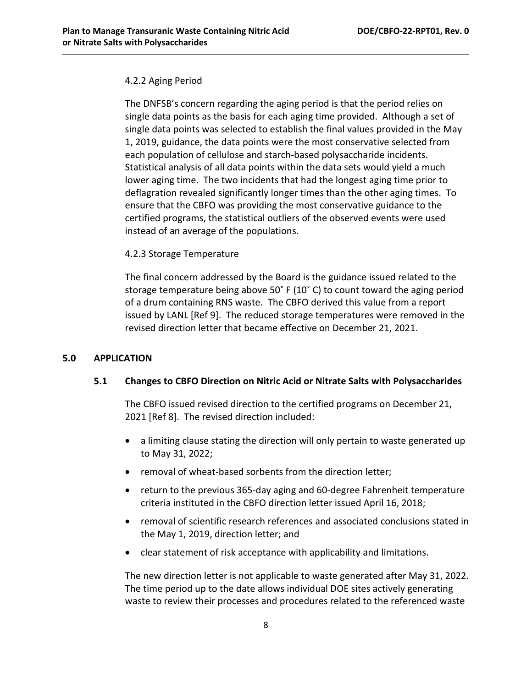#### 4.2.2 Aging Period

The DNFSB's concern regarding the aging period is that the period relies on single data points as the basis for each aging time provided. Although a set of single data points was selected to establish the final values provided in the May 1, 2019, guidance, the data points were the most conservative selected from each population of cellulose and starch-based polysaccharide incidents. Statistical analysis of all data points within the data sets would yield a much lower aging time. The two incidents that had the longest aging time prior to deflagration revealed significantly longer times than the other aging times. To ensure that the CBFO was providing the most conservative guidance to the certified programs, the statistical outliers of the observed events were used instead of an average of the populations.

#### 4.2.3 Storage Temperature

The final concern addressed by the Board is the guidance issued related to the storage temperature being above 50˚ F (10˚ C) to count toward the aging period of a drum containing RNS waste. The CBFO derived this value from a report issued by LANL [Ref 9]. The reduced storage temperatures were removed in the revised direction letter that became effective on December 21, 2021.

#### <span id="page-9-1"></span><span id="page-9-0"></span>**5.0 APPLICATION**

#### **5.1 Changes to CBFO Direction on Nitric Acid or Nitrate Salts with Polysaccharides**

The CBFO issued revised direction to the certified programs on December 21, 2021 [Ref 8]. The revised direction included:

- a limiting clause stating the direction will only pertain to waste generated up to May 31, 2022;
- removal of wheat-based sorbents from the direction letter;
- return to the previous 365-day aging and 60-degree Fahrenheit temperature criteria instituted in the CBFO direction letter issued April 16, 2018;
- removal of scientific research references and associated conclusions stated in the May 1, 2019, direction letter; and
- clear statement of risk acceptance with applicability and limitations.

The new direction letter is not applicable to waste generated after May 31, 2022. The time period up to the date allows individual DOE sites actively generating waste to review their processes and procedures related to the referenced waste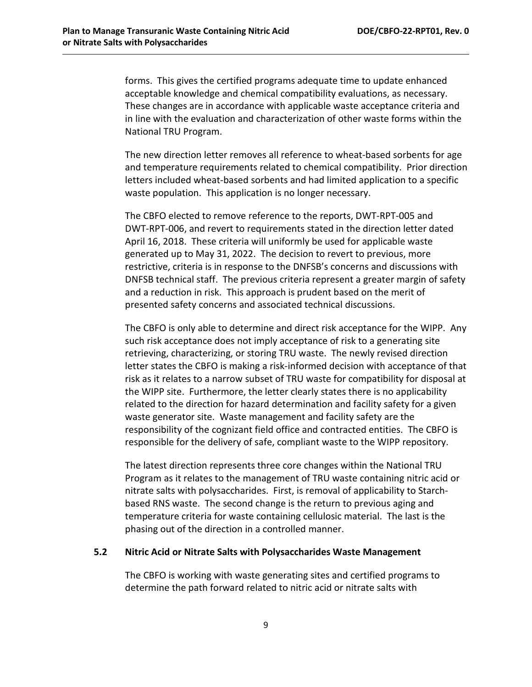forms. This gives the certified programs adequate time to update enhanced acceptable knowledge and chemical compatibility evaluations, as necessary. These changes are in accordance with applicable waste acceptance criteria and in line with the evaluation and characterization of other waste forms within the National TRU Program.

The new direction letter removes all reference to wheat-based sorbents for age and temperature requirements related to chemical compatibility. Prior direction letters included wheat-based sorbents and had limited application to a specific waste population. This application is no longer necessary.

The CBFO elected to remove reference to the reports, DWT-RPT-005 and DWT-RPT-006, and revert to requirements stated in the direction letter dated April 16, 2018. These criteria will uniformly be used for applicable waste generated up to May 31, 2022. The decision to revert to previous, more restrictive, criteria is in response to the DNFSB's concerns and discussions with DNFSB technical staff. The previous criteria represent a greater margin of safety and a reduction in risk. This approach is prudent based on the merit of presented safety concerns and associated technical discussions.

The CBFO is only able to determine and direct risk acceptance for the WIPP. Any such risk acceptance does not imply acceptance of risk to a generating site retrieving, characterizing, or storing TRU waste. The newly revised direction letter states the CBFO is making a risk-informed decision with acceptance of that risk as it relates to a narrow subset of TRU waste for compatibility for disposal at the WIPP site. Furthermore, the letter clearly states there is no applicability related to the direction for hazard determination and facility safety for a given waste generator site. Waste management and facility safety are the responsibility of the cognizant field office and contracted entities. The CBFO is responsible for the delivery of safe, compliant waste to the WIPP repository.

The latest direction represents three core changes within the National TRU Program as it relates to the management of TRU waste containing nitric acid or nitrate salts with polysaccharides. First, is removal of applicability to Starchbased RNS waste. The second change is the return to previous aging and temperature criteria for waste containing cellulosic material. The last is the phasing out of the direction in a controlled manner.

#### <span id="page-10-0"></span>**5.2 Nitric Acid or Nitrate Salts with Polysaccharides Waste Management**

The CBFO is working with waste generating sites and certified programs to determine the path forward related to nitric acid or nitrate salts with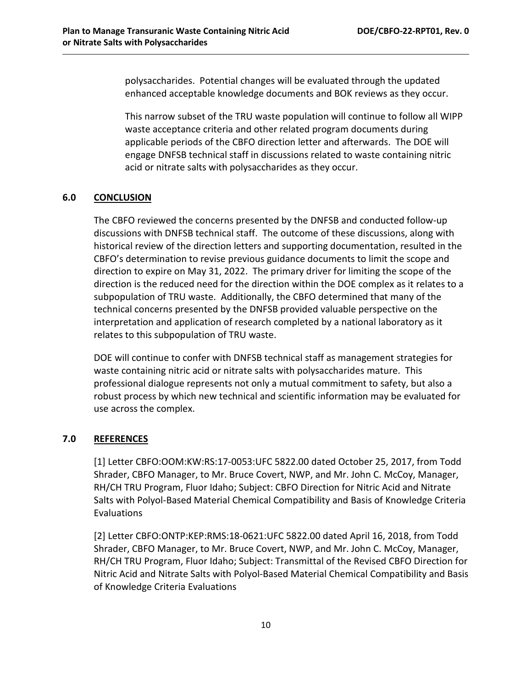polysaccharides. Potential changes will be evaluated through the updated enhanced acceptable knowledge documents and BOK reviews as they occur.

This narrow subset of the TRU waste population will continue to follow all WIPP waste acceptance criteria and other related program documents during applicable periods of the CBFO direction letter and afterwards. The DOE will engage DNFSB technical staff in discussions related to waste containing nitric acid or nitrate salts with polysaccharides as they occur.

# <span id="page-11-0"></span>**6.0 CONCLUSION**

The CBFO reviewed the concerns presented by the DNFSB and conducted follow-up discussions with DNFSB technical staff. The outcome of these discussions, along with historical review of the direction letters and supporting documentation, resulted in the CBFO's determination to revise previous guidance documents to limit the scope and direction to expire on May 31, 2022. The primary driver for limiting the scope of the direction is the reduced need for the direction within the DOE complex as it relates to a subpopulation of TRU waste. Additionally, the CBFO determined that many of the technical concerns presented by the DNFSB provided valuable perspective on the interpretation and application of research completed by a national laboratory as it relates to this subpopulation of TRU waste.

DOE will continue to confer with DNFSB technical staff as management strategies for waste containing nitric acid or nitrate salts with polysaccharides mature. This professional dialogue represents not only a mutual commitment to safety, but also a robust process by which new technical and scientific information may be evaluated for use across the complex.

## <span id="page-11-1"></span>**7.0 REFERENCES**

[1] Letter CBFO:OOM:KW:RS:17-0053:UFC 5822.00 dated October 25, 2017, from Todd Shrader, CBFO Manager, to Mr. Bruce Covert, NWP, and Mr. John C. McCoy, Manager, RH/CH TRU Program, Fluor Idaho; Subject: CBFO Direction for Nitric Acid and Nitrate Salts with Polyol-Based Material Chemical Compatibility and Basis of Knowledge Criteria Evaluations

[2] Letter CBFO:ONTP:KEP:RMS:18-0621:UFC 5822.00 dated April 16, 2018, from Todd Shrader, CBFO Manager, to Mr. Bruce Covert, NWP, and Mr. John C. McCoy, Manager, RH/CH TRU Program, Fluor Idaho; Subject: Transmittal of the Revised CBFO Direction for Nitric Acid and Nitrate Salts with Polyol-Based Material Chemical Compatibility and Basis of Knowledge Criteria Evaluations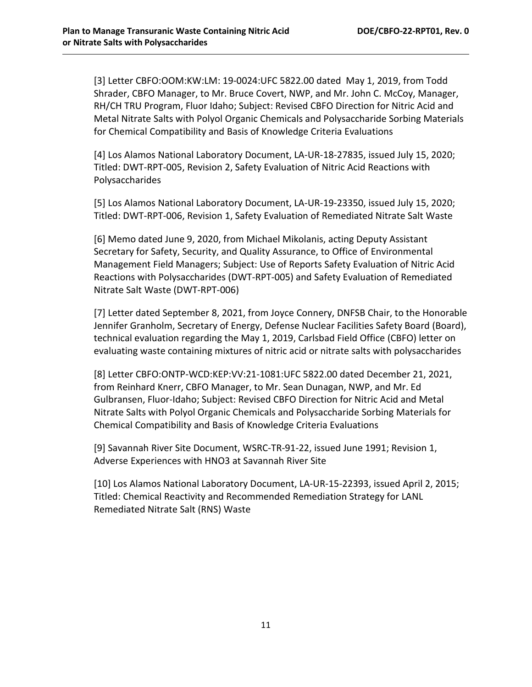[3] Letter CBFO:OOM:KW:LM: 19-0024:UFC 5822.00 dated May 1, 2019, from Todd Shrader, CBFO Manager, to Mr. Bruce Covert, NWP, and Mr. John C. McCoy, Manager, RH/CH TRU Program, Fluor Idaho; Subject: Revised CBFO Direction for Nitric Acid and Metal Nitrate Salts with Polyol Organic Chemicals and Polysaccharide Sorbing Materials for Chemical Compatibility and Basis of Knowledge Criteria Evaluations

[4] Los Alamos National Laboratory Document, LA-UR-18-27835, issued July 15, 2020; Titled: DWT-RPT-005, Revision 2, Safety Evaluation of Nitric Acid Reactions with Polysaccharides

[5] Los Alamos National Laboratory Document, LA-UR-19-23350, issued July 15, 2020; Titled: DWT-RPT-006, Revision 1, Safety Evaluation of Remediated Nitrate Salt Waste

[6] Memo dated June 9, 2020, from Michael Mikolanis, acting Deputy Assistant Secretary for Safety, Security, and Quality Assurance, to Office of Environmental Management Field Managers; Subject: Use of Reports Safety Evaluation of Nitric Acid Reactions with Polysaccharides (DWT-RPT-005) and Safety Evaluation of Remediated Nitrate Salt Waste (DWT-RPT-006)

[7] Letter dated September 8, 2021, from Joyce Connery, DNFSB Chair, to the Honorable Jennifer Granholm, Secretary of Energy, Defense Nuclear Facilities Safety Board (Board), technical evaluation regarding the May 1, 2019, Carlsbad Field Office (CBFO) letter on evaluating waste containing mixtures of nitric acid or nitrate salts with polysaccharides

[8] Letter CBFO:ONTP-WCD:KEP:VV:21-1081:UFC 5822.00 dated December 21, 2021, from Reinhard Knerr, CBFO Manager, to Mr. Sean Dunagan, NWP, and Mr. Ed Gulbransen, Fluor-Idaho; Subject: Revised CBFO Direction for Nitric Acid and Metal Nitrate Salts with Polyol Organic Chemicals and Polysaccharide Sorbing Materials for Chemical Compatibility and Basis of Knowledge Criteria Evaluations

[9] Savannah River Site Document, WSRC-TR-91-22, issued June 1991; Revision 1, Adverse Experiences with HNO3 at Savannah River Site

[10] Los Alamos National Laboratory Document, LA-UR-15-22393, issued April 2, 2015; Titled: Chemical Reactivity and Recommended Remediation Strategy for LANL Remediated Nitrate Salt (RNS) Waste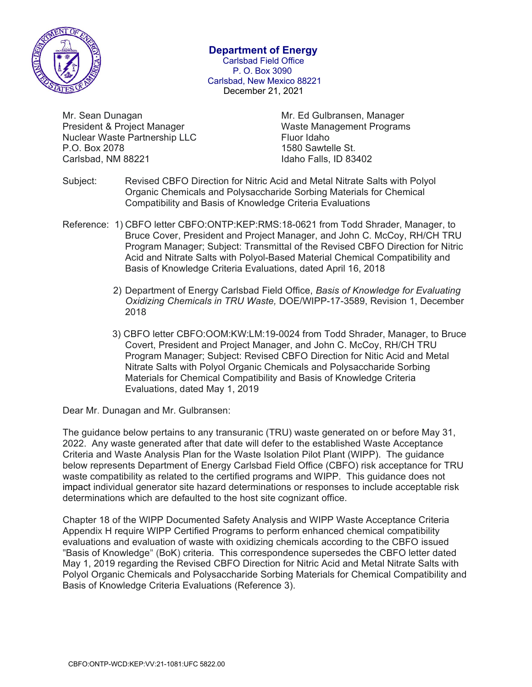

#### Department of Energy

Carlsbad Field Office P. O. Box 3090 Carlsbad, New Mexico 88221 December 21, 2021

Mr. Sean Dunagan Mr. Ed Gulbransen, Manager President & Project Manager National Maste Management Programs Nuclear Waste Partnership LLC Fluor Idaho P.O. Box 2078 **1580** Sawtelle St. Carlsbad, NM 88221 Idaho Falls, ID 83402

- Subject: Revised CBFO Direction for Nitric Acid and Metal Nitrate Salts with Polyol Organic Chemicals and Polysaccharide Sorbing Materials for Chemical Compatibility and Basis of Knowledge Criteria Evaluations
- Reference: 1) CBFO letter CBFO:ONTP:KEP:RMS:18-0621 from Todd Shrader, Manager, to Bruce Cover, President and Project Manager, and John C. McCoy, RH/CH TRU Program Manager; Subject: Transmittal of the Revised CBFO Direction for Nitric Acid and Nitrate Salts with Polyol-Based Material Chemical Compatibility and Basis of Knowledge Criteria Evaluations, dated April 16, 2018
	- 2) Department of Energy Carlsbad Field Office, Basis of Knowledge for Evaluating Oxidizing Chemicals in TRU Waste, DOE/WIPP-17-3589, Revision 1, December 2018
	- 3) CBFO letter CBFO:OOM:KW:LM:19-0024 from Todd Shrader, Manager, to Bruce Covert, President and Project Manager, and John C. McCoy, RH/CH TRU Program Manager; Subject: Revised CBFO Direction for Nitic Acid and Metal Nitrate Salts with Polyol Organic Chemicals and Polysaccharide Sorbing Materials for Chemical Compatibility and Basis of Knowledge Criteria Evaluations, dated May 1, 2019

Dear Mr. Dunagan and Mr. Gulbransen:

The guidance below pertains to any transuranic (TRU) waste generated on or before May 31, 2022. Any waste generated after that date will defer to the established Waste Acceptance Criteria and Waste Analysis Plan for the Waste Isolation Pilot Plant (WIPP). The guidance below represents Department of Energy Carlsbad Field Office (CBFO) risk acceptance for TRU waste compatibility as related to the certified programs and WIPP. This guidance does not impact individual generator site hazard determinations or responses to include acceptable risk determinations which are defaulted to the host site cognizant office.

Chapter 18 of the WIPP Documented Safety Analysis and WIPP Waste Acceptance Criteria Appendix H require WIPP Certified Programs to perform enhanced chemical compatibility evaluations and evaluation of waste with oxidizing chemicals according to the CBFO issued "Basis of Knowledge" (BoK) criteria. This correspondence supersedes the CBFO letter dated May 1, 2019 regarding the Revised CBFO Direction for Nitric Acid and Metal Nitrate Salts with Polyol Organic Chemicals and Polysaccharide Sorbing Materials for Chemical Compatibility and Basis of Knowledge Criteria Evaluations (Reference 3).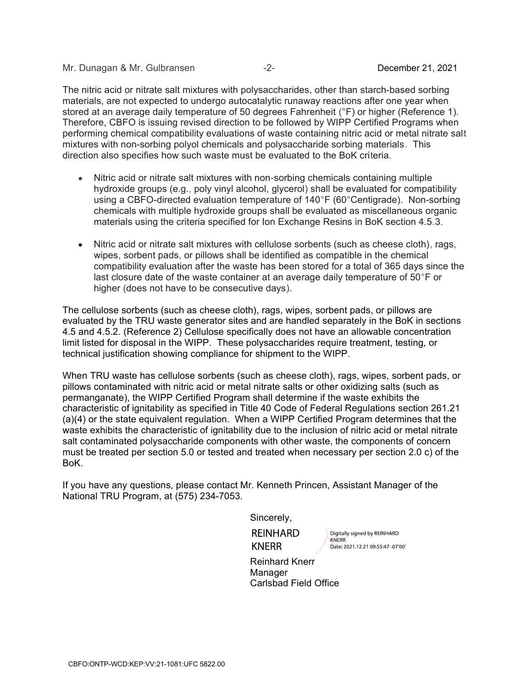Mr. Dunagan & Mr. Gulbransen -2-December 21, 2021

The nitric acid or nitrate salt mixtures with polysaccharides, other than starch-based sorbing materials, are not expected to undergo autocatalytic runaway reactions after one year when stored at an average daily temperature of 50 degrees Fahrenheit (°F) or higher (Reference 1). Therefore, CBFO is issuing revised direction to be followed by WIPP Certified Programs when performing chemical compatibility evaluations of waste containing nitric acid or metal nitrate salt mixtures with non-sorbing polyol chemicals and polysaccharide sorbing materials. This direction also specifies how such waste must be evaluated to the BoK criteria.

- Nitric acid or nitrate salt mixtures with non-sorbing chemicals containing multiple  $\bullet$ hydroxide groups (e.g., poly vinyl alcohol, glycerol) shall be evaluated for compatibility using a CBFO-directed evaluation temperature of 140°F (60°Centigrade). Non-sorbing chemicals with multiple hydroxide groups shall be evaluated as miscellaneous organic materials using the criteria specified for Ion Exchange Resins in BoK section 4.5.3.
- Nitric acid or nitrate salt mixtures with cellulose sorbents (such as cheese cloth), rags, wipes, sorbent pads, or pillows shall be identified as compatible in the chemical compatibility evaluation after the waste has been stored for a total of 365 days since the last closure date of the waste container at an average daily temperature of 50°F or higher (does not have to be consecutive days).

The cellulose sorbents (such as cheese cloth), rags, wipes, sorbent pads, or pillows are evaluated by the TRU waste generator sites and are handled separately in the BoK in sections 4.5 and 4.5.2. (Reference 2) Cellulose specifically does not have an allowable concentration limit listed for disposal in the WIPP. These polysaccharides require treatment, testing, or technical justification showing compliance for shipment to the WIPP.

When TRU waste has cellulose sorbents (such as cheese cloth), rags, wipes, sorbent pads, or pillows contaminated with nitric acid or metal nitrate salts or other oxidizing salts (such as permanganate), the WIPP Certified Program shall determine if the waste exhibits the characteristic of ignitability as specified in Title 40 Code of Federal Regulations section 261.21 (a)(4) or the state equivalent regulation. When a WIPP Certified Program determines that the waste exhibits the characteristic of ignitability due to the inclusion of nitric acid or metal nitrate salt contaminated polysaccharide components with other waste, the components of concern must be treated per section 5.0 or tested and treated when necessary per section 2.0 c) of the BoK.

If you have any questions, please contact Mr. Kenneth Princen, Assistant Manager of the National TRU Program, at (575) 234-7053.

Sincerely,

**KNFRR** 

**REINHARD** 

Digitally signed by REINHARD

Reinhard Knerr **Manager** Carlsbad Field Office

KNERR Date: 2021.12.21 09:55:47 -07'00'